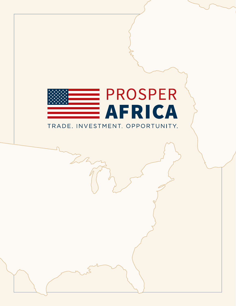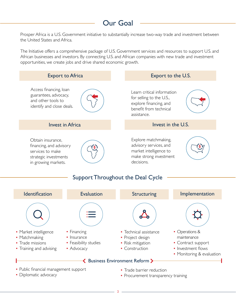# Our Goal

Prosper Africa is a U.S. Government initiative to substantially increase two-way trade and investment between the United States and Africa.

The Initiative offers a comprehensive package of U.S. Government services and resources to support U.S. and African businesses and investors. By connecting U.S. and African companies with new trade and investment opportunities, we create jobs and drive shared economic growth.



 $\overline{2}$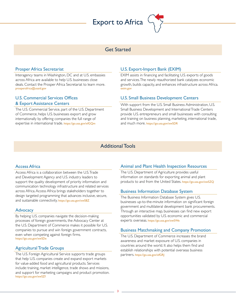# Export to Africa



# Get Started

#### Prosper Africa Secretariat

Interagency teams in Washington, DC and at U.S. embassies across Africa are available to help U.S. businesses close deals. Contact the Prosper Africa Secretariat to learn more. [prosperafrica@usaid.gov](mailto:prosperafrica%40usaid.gov?subject=)

#### U.S. Commercial Services Offices & Export Assistance Centers

The U.S. Commercial Service, part of the U.S. Department of Commerce, helps U.S. businesses export and grow internationally by offering companies the full range of expertise in international trade. <https://go.usa.gov/xfGQm>

# U.S. Export-Import Bank (EXIM)

EXIM assists in financing and facilitating U.S. exports of goods and services. The newly reauthorized bank catalyzes economic growth, builds capacity, and enhances infrastructure across Africa. [exim.gov](https://www.exim.gov/)

# U.S. Small Business Development Centers

With support from the U.S. Small Business Administration, U.S. Small Business Development and International Trade Centers provide U.S. entrepreneurs and small businesses with consulting and training on business planning, marketing, international trade, and much more. <https://go.usa.gov/xwSDR>

# Additional Tools

#### Access Africa

Access Africa is a collaboration between the U.S. Trade and Development Agency and U.S. industry leaders to support the quality development of priority information and communication technology infrastructure and related services across Africa. Access Africa brings stakeholders together to design targeted programming that advances inclusive, secure, and sustainable connectivity. <https://go.usa.gov/xwSBZ>

#### **Advocacy**

By helping U.S. companies navigate the decision-making processes of foreign governments, the Advocacy Center at the U.S. Department of Commerce makes it possible for U.S. companies to pursue and win foreign government contracts, even when competing against foreign firms. <https://go.usa.gov/xwSDe>

# Agricultural Trade Groups

The U.S. Foreign Agricultural Service supports trade groups that help U.S. companies create and expand export markets for value-added food and agricultural products. Services include: training, market intelligence, trade shows and missions, and support for marketing campaigns and product promotion. <https://go.usa.gov/xwSZf>

#### Animal and Plant Health Inspection Resources

The U.S. Department of Agriculture provides useful information on standards for exporting animal and plant products to and from the United States. <https://go.usa.gov/xwSZQ>

#### Business Information Database System

The Business Information Database System gives U.S. businesses up-to-the-minute information on significant foreign government and multilateral development bank procurements. Through an interactive map, businesses can find new export opportunities validated by U.S. economic and commercial experts overseas. <https://go.usa.gov/xwSWe>

#### Business Matchmaking and Company Promotion

The U.S. Department of Commerce increases the brand awareness and market exposure of U.S. companies in countries around the world. It also helps them find and establish relationships with potential overseas business partners. <https://go.usa.gov/xfGRJ>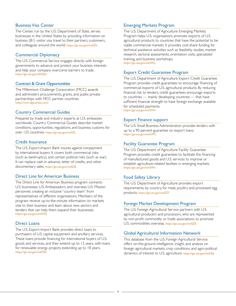#### Business Visa Center

The Center, run by the U.S. Department of State, serves businesses in the United States by providing information on business (B1) visitor visa travel to their partners, customers, and colleagues around the world. <https://go.usa.gov/xwSZh>

#### Commercial Diplomacy

The U.S. Commercial Service engages directly with foreign governments to advance and protect your business interests and help your company overcome barriers to trade. <https://go.usa.gov/xfGQm>

#### Contract & Grant Opportunities

The Millennium Challenge Corporation (MCC) awards and administers procurements, grants, and public-private partnerships with MCC partner countries. <https://mcc.dgmarket.com/>

#### Country Commercial Guides

Prepared by trade and industry experts at U.S. embassies worldwide, Country Commercial Guides describe market conditions, opportunities, regulations, and business customs for over 125 countries. <https://go.usa.gov/xwSZj>

#### Credit Insurance

The U.S. Export-Import Bank insures against nonpayment by international buyers. It covers both commercial risks (such as bankruptcy), and certain political risks (such as war). It can replace cash-in advance, letter of credits, and other documentary sales. <https://go.usa.gov/xwSD6>

#### Direct Line for American Business

The Direct Line for American Business program connects U.S. businesses, U.S. Ambassadors, and overseas U.S. Mission personnel, creating an inclusive "country team" from representatives of different organizations. Members of the program receive up-to-the-minute information on markets vital to their business and learn about new sectors and tenders that can help them expand their businesses. <https://go.usa.gov/xwSWJ>

#### Direct Loans

The U.S. Export-Import Bank provides direct loans to purchasers of U.S. capital equipment and ancillary services. These loans provide financing for international buyers of U.S. goods and services, and they extend up to 12 years, with loans for renewable energy projects extending up to 18 years. <https://go.usa.gov/xwSD6>

#### Emerging Markets Program

The U.S. Department of Agriculture Emerging Markets Program helps U.S. organizations promote exports of U.S. agricultural products to countries that have the potential to be viable commercial markets. It provides cost-share funding for technical assistance activities such as feasibility studies, market research, sectoral assessments, orientation visits, specialized training, and business workshops. <https://go.usa.gov/xwSWy>

#### Export Credit Guarantee Program

The U.S. Department of Agriculture Export Credit Guarantee Program provides credit guarantees to encourage financing of commercial exports of U.S. agricultural products. By reducing financial risk to lenders, credit guarantees encourage exports to countries — mainly developing countries — that have sufficient financial strength to have foreign exchange available for scheduled payments.

<https://go.usa.gov/xwSWn>

#### Export Finance support

The U.S. Small Business Administration provides lenders with up to a 90 percent guarantee on export loans. <https://go.usa.gov/xwSWC>

#### Facility Guarantee Program

The U.S. Department of Agriculture Facility Guarantee Program provides credit guarantees to facilitate the financing of manufactured goods and U.S. services to improve or establish agriculture-related facilities in emerging markets. [https://go.usa.gov/xwSWn](https://go.usa.gov/xwSWn )

#### Food Safety Library

The U.S. Department of Agriculture provides export requirements, by country, for meat, poultry and processed egg products. <https://go.usa.gov/xwSZ7>

#### Foreign Market Development Program

The U.S. Foreign Agricultural Service partners with U.S. agricultural producers and processors, who are represented by non-profit commodity or trade associations, to promote U.S. commodities overseas. <https://go.usa.gov/xwSZE>

## Global Agricultural Information Network

This database from the U.S. Foreign Agricultural Service offers on-the-ground intelligence, insight, and analysis on foreign agricultural markets, crop conditions, and agro-political dynamics of interest to U.S. agriculture. <https://go.usa.gov/xwSZp>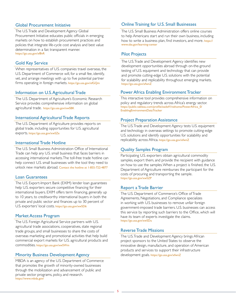#### Global Procurement Initiative

The U.S. Trade and Development Agency Global Procurement Initiative educates public officials in emerging markets on how to establish procurement practices and policies that integrate life-cycle cost analysis and best value determination in a fair, transparent manner. <https://go.usa.gov/xf8vR>

#### Gold Key Service

When representatives of U.S. companies travel overseas, the U.S. Department of Commerce will, for a small fee, identify, vet, and arrange meetings with up to five potential partner firms operating in foreign markets. <https://go.usa.gov/xfGQm>

#### Information on U.S. Agricultural Trade

The U.S. Department of Agriculture's Economic Research Service provides comprehensive information on global agricultural trade. <https://go.usa.gov/xwSBK>

#### International Agricultural Trade Reports

The U.S. Department of Agriculture provides reports on global trade, including opportunities for U.S. agricultural exports. https://go.usa.gov/xwSZe

#### International Trade Hotline

The U.S. Small Business Administration Office of International Trade can help any U.S. small business that faces barriers in accessing international markets. The toll-free trade hotline can help connect U.S. small businesses with the tool they need to unlock new markets abroad. Contact the hotline at 1-855-722-4877

#### Loan Guarantees

The U.S. Export-Import Bank (EXIM) lender loan guarantees help U.S. exporters secure competitive financing for their international buyers. EXIM offers term financing, generally up to 10 years, to creditworthy international buyers in both the private and public sector and finances up to 30 percent of U.S. exporters' local costs. <https://go.usa.gov/xwSD6>

#### Market Access Program

The U.S. Foreign Agricultural Service partners with U.S. agricultural trade associations, cooperatives, state regional trade groups, and small businesses to share the costs of overseas marketing and promotional activities that help build commercial export markets for U.S. agricultural products and commodities. <https://go.usa.gov/xwSWm>

#### Minority Business Development Agency

MBDA is an agency of the U.S. Department of Commerce that promotes the growth of minority-owned businesses through the mobilization and advancement of public and private sector programs, policy, and research. <https://www.mbda.gov/>

#### Online Training for U.S. Small Businesses

The U.S. Small Business Administration offers online courses to help Americans start and run their own business, including how to write a business plan, find investors, and more. [https://](https://www.sba.gov/learning-center) [www.sba.gov/learning-center](https://www.sba.gov/learning-center)

#### Pilot Projects

The U.S. Trade and Development Agency identifies new development opportunities abroad through on-the-ground testing of U.S. equipment and technology that can provide and promote cutting-edge U.S. solutions with the potential for scalability and replicability throughout emerging markets. https://go.usa.gov/xfwnZ

#### Power Africa Enabling Environment Tracker

This interactive tool provides comprehensive information on policy and regulatory trends across Africa's energy sector. [https://public.tableau.com/profile/eads#!/vizhome/PowerAfrica\\_0/](https://public.tableau.com/profile/eads#!/vizhome/PowerAfrica_0/EnablingEnvironmentDataTracker) [EnablingEnvironmentDataTracker](https://public.tableau.com/profile/eads#!/vizhome/PowerAfrica_0/EnablingEnvironmentDataTracker)

#### Project Preparation Assistance

The U.S. Trade and Development Agency tests U.S. equipment and technology in overseas settings to promote cutting-edge U.S. solutions and identify opportunities for scalability and replicability across Africa. [https://go.usa.gov/xfwnZ](https://go.usa.gov/xfwnZ )

#### Quality Samples Program

Participating U.S. exporters obtain agricultural commodity samples, export them, and provide the recipient with guidance on how to use the samples. When a project is finished, the U.S. Department of Agriculture reimburses the participant for the costs of procuring and transporting the sample. <https://go.usa.gov/xwSZP>

#### Report a Trade Barrier

The U.S. Department of Commerce's Office of Trade Agreements, Negotiations, and Compliance specializes in working with U.S. businesses to remove unfair foreign government-imposed trade barriers. U.S. businesses can access this service by reporting such barriers to the Office, which will have its team of experts investigate the claims. <https://go.usa.gov/xwSDu>

#### Reverse Trade Missions

The U.S. Trade and Development Agency brings African project sponsors to the United States to observe the innovative design, manufacture, and operation of American products and services to support their infrastructure development goals. https://go.usa.gov/xfwnZ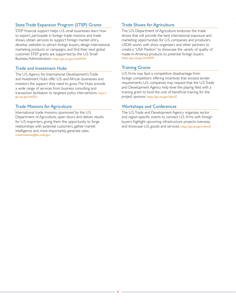# State Trade Expansion Program (STEP) Grants

STEP financial support helps U.S. small businesses learn how to export, participate in foreign trade missions and trade shows, obtain services to support foreign market entry, develop websites to attract foreign buyers, design international marketing products or campaigns, and find their next global customer. STEP grants are supported by the U.S. Small Business Administration. <https://go.usa.gov/xwSWW>

#### Trade and Investment Hubs

The U.S. Agency for International Development's Trade and Investment Hubs offer U.S. and African businesses and investors the support they need to grow. The Hubs provide a wide range of services from business consulting and transaction facilitation to targeted policy interventions. [https://](https://go.usa.gov/xwSDr) [go.usa.gov/xwSDr](https://go.usa.gov/xwSDr)

# Trade Missions for Agriculture

International trade missions, sponsored by the U.S. Department of Agriculture, open doors and deliver results for U.S. exporters, giving them the opportunity to forge relationships with potential customers, gather market intelligence and, most importantly, generate sales. [trademissions@fas.usda.gov](http://trademissions@fas.usda.gov)

# Trade Shows for Agriculture

The U.S. Department of Agriculture endorses the trade shows that will provide the best international exposure and marketing opportunities for U.S. companies and producers. USDA works with show organizers and other partners to create a "USA Pavilion" to showcase the variety of quality of made-in-America products to potential foreign buyers. <https://go.usa.gov/xwSWP>

# Training Grants

U.S. firms may face a competitive disadvantage from foreign competitors offering incentives that exceed tender requirements. U.S. companies may request that the U.S. Trade and Development Agency help level the playing field with a training grant to fund the cost of beneficial training for the project sponsor. https://go.usa.gov/xfwnZ

# Workshops and Conferences

The U.S. Trade and Development Agency organizes sector and region-specific events to connect U.S. firms with foreign buyers, highlight upcoming infrastructure projects overseas, and showcase U.S. goods and services. https://go.usa.gov/xfwnZ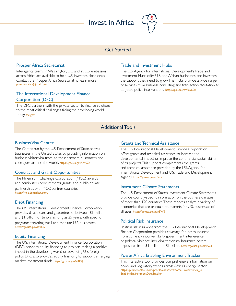# Invest in Africa



# Get Started

#### Prosper Africa Secretariat

Interagency teams in Washington, DC and at U.S. embassies across Africa are available to help U.S. investors close deals. Contact the Prosper Africa Secretariat to learn more. [prosperafrica@usaid.gov](mailto:prosperafrica%40usaid.gov?subject=)

# The International Development Finance Corporation (DFC)

The DFC partners with the private sector to finance solutions to the most critical challenges facing the developing world today. [dfc.gov](https://www.dfc.gov/)

# Trade and Investment Hubs

The U.S. Agency for International Development's Trade and Investment Hubs offer U.S. and African businesses and investors the support they need to grow. The Hubs provide a wide range of services from business consulting and transaction facilitation to targeted policy interventions. <https://go.usa.gov/xwSDr>

# Additional Tools

#### Business Visa Center

The Center, run by the U.S. Department of State, serves businesses in the United States by providing information on business visitor visa travel to their partners, customers and colleagues around the world. <https://go.usa.gov/xwSZh>

# Contract and Grant Opportunities

The Millennium Challenge Corporation (MCC) awards and administers procurements, grants, and public-private partnerships with MCC partner countries <https://mcc.dgmarket.com/>

# Debt Financing

The U.S. International Development Finance Corporation provides direct loans and guarantees of between \$1 million and \$1 billion for tenors as long as 25 years, with specific

programs targeting small and medium U.S. businesses. https://go.usa.gov/xf8G6

#### Equity Financing

The U.S. International Development Finance Corporation (DFC) provides equity financing to projects making a positive impact in the developing world or advancing U.S. foreign policy. DFC also provides equity financing to support emerging market investment funds. <https://go.usa.gov/xf8GJ>

## Grants and Technical Assistance

The U.S. International Development Finance Corporation offers grants and technical assistance to increase the developmental impact or improve the commercial sustainability of its projects. This support complements the grants and technical assistance provided by the U.S. Agency for International Development and U.S. Trade and Development Agency. https://go.usa.gov/xfwnt

#### Investment Climate Statements

The U.S. Department of State's Investment Climate Statements provide country-specific information on the business climates of more than 170 countries. These reports analyze a variety of economies that are or could be markets for U.S. businesses of all sizes. <https://go.usa.gov/xwSWS>

#### Political Risk Insurance

Political risk insurance from the U.S. International Development Finance Corporation provides coverage for losses incurred from currency inconvertibility, government interference, or political violence, including terrorism. Insurance covers exposures from \$1 million to \$1 billion. https://go.usa.gov/xfwQ3

# Power Africa Enabling Environment Tracker

This interactive tool provides comprehensive information on policy and regulatory trends across Africa's energy sector. [https://public.tableau.com/profile/eads#!/vizhome/PowerAfrica\\_0/](https://public.tableau.com/profile/eads#!/vizhome/PowerAfrica_0/EnablingEnvironmentDataTracker) [EnablingEnvironmentDataTracker](https://public.tableau.com/profile/eads#!/vizhome/PowerAfrica_0/EnablingEnvironmentDataTracker)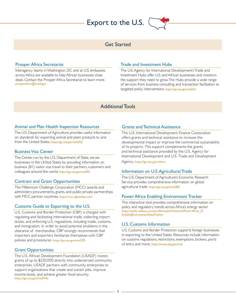# Export to the U.S.



# Get Started

#### Prosper Africa Secretariat

Interagency teams in Washington, DC and at U.S. embassies across Africa are available to help African businesses close deals. Contact the Prosper Africa Secretariat to learn more. [prosperafrica@usaid.gov](mailto:prosperafrica%40usaid.gov?subject=)

#### Trade and Investment Hubs

The U.S. Agency for International Development's Trade and Investment Hubs offer U.S. and African businesses and investors the support they need to grow. The Hubs provide a wide range of services from business consulting and transaction facilitation to targeted policy interventions. <https://go.usa.gov/xwSDr>

# Additional Tools

#### Animal and Plan Health Inspection Resources

The U.S. Department of Agriculture provides useful information on standards for exporting animal and plant products to and from the United States. <https://go.usa.gov/xwSZQ>

#### Business Visa Center

The Center, run by the U.S. Department of State, serves businesses in the United States by providing information on business (B1) visitor visa travel to their partners, customers and colleagues around the world. <https://go.usa.gov/xwSZh>

#### Contract and Grant Opportunities

The Millennium Challenge Corporation (MCC) awards and administers procurements, grants, and public-private partnerships with MCC partner countries.<https://mcc.dgmarket.com/>

#### Customs Guide to Exporting to the U.S.

U.S. Customs and Border Protection (CBP) is charged with regulating and facilitating international trade, collecting import duties, and enforcing U.S. regulations, including trade, customs, and immigration. In order to avoid potential problems in the clearance of merchandise, CBP strongly recommends that importers and exporters familiarize themselves with CBP policies and procedures. <https://go.usa.gov/xwSZR>

#### Grant Opportunities

The U.S. African Development Foundation (USADF) invests grants of up to \$250,000 directly into underserved community enterprises. USADF partners with community enterprises to support organizations that create and sustain jobs, improve income levels, and achieve greater food security. <https://go.usa.gov/xwSWk>

#### Grants and Technical Assistance

The U.S. International Development Finance Corporation offers grants and technical assistance to increase the developmental impact or improve the commercial sustainability of its projects. This support complements the grants and technical assistance provided by the U.S. Agency for International Development and U.S. Trade and Development

Agency. https://go.usa.gov/xfwnt

#### Information on U.S. Agricultural Trade

The U.S. Department of Agriculture's Economic Research Service provides comprehensive information on global agricultural trade. <https://go.usa.gov/xwSBK>

#### Power Africa Enabling Environment Tracker

This interactive tool provides comprehensive information on policy and regulatory trends across Africa's energy sector. https://public.tableau.com/profile/eads#!/vizhome/PowerAfrica\_0/ EnablingEnvironmentDataTracker

#### U.S. Customs Information

U.S. Customs and Border Protection supports foreign businesses in exporting to the United States. Resources include information on customs regulations, restrictions, exemptions, brokers, ports of entry, and more. [https://www.cbp.gov/trad](https://www.cbp.gov/trade)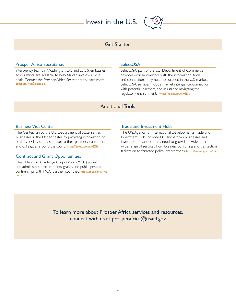# Invest in the U.S.



# Get Started

#### Prosper Africa Secretariat

Interagency teams in Washington, DC and at U.S. embassies across Africa are available to help African investors close deals. Contact the Prosper Africa Secretariat to learn more. [prosperafrica@usaid.gov](mailto:prosperafrica%40usaid.gov?subject=)

#### **SelectUSA**

SelectUSA, part of the U.S. Department of Commerce, provides African investors with the information, tools, and connections they need to succeed in the U.S. market. SelectUSA services include market intelligence, connection with potential partners, and assistance navigating the regulatory environment. <https://go.usa.gov/xwSDS>

# Additional Tools

#### Business Visa Center

The Center, run by the U.S. Department of State, serves businesses in the United States by providing information on business (B1) visitor visa travel to their partners, customers and colleagues around the world. <https://go.usa.gov/xwSZh>

#### Contract and Grant Opportunities

The Millennium Challenge Corporation (MCC) awards and administers procurements, grants, and public-private partnerships with MCC partner countries. [https://mcc.dgmarket.](https://mcc.dgmarket.com/) [com/](https://mcc.dgmarket.com/)

#### Trade and Investment Hubs

The U.S. Agency for International Development's Trade and Investment Hubs provide U.S. and African businesses and investors the support they need to grow. The Hubs offer a wide range of services from business consulting and transaction facilitation to targeted policy interventions. <https://go.usa.gov/xwSDr>

To learn more about Prosper Africa services and resources, connect with us at [prosperafrica@usaid.gov](mailto:prosperafrica%40usaid.gov?subject=)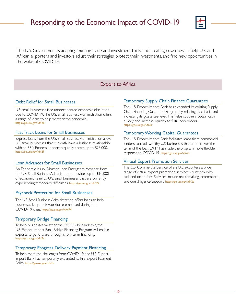# Responding to the Economic Impact of COVID-19



The U.S. Government is adapting existing trade and investment tools, and creating new ones, to help U.S. and African exporters and investors adjust their strategies, protect their investments, and find new opportunities in the wake of COVID-19.

# Export to Africa

#### Debt Relief for Small Businesses

U.S. small businesses face unprecedented economic disruption due to COVID-19. The U.S. Small Business Administration offers a range of loans to help weather the pandemic. <https://go.usa.gov/xfn2d>

#### Fast Track Loans for Small Businesses

Express loans from the U.S. Small Business Administration allow U.S. small businesses that currently have a business relationship with an SBA Express Lender to quickly access up to \$25,000. https://go.usa.gov/xfn2f

#### Loan Advances for Small Businesses

An Economic Injury Disaster Loan Emergency Advance from the U.S. Small Business Administration provides up to \$10,000 of economic relief to U.S. small businesses that are currently experiencing temporary difficulties. https://go.usa.gov/xfn2G

#### Paycheck Protection for Small Businesses

The U.S. Small Business Administration offers loans to help businesses keep their workforce employed during the COVID-19 crisis. https://go.usa.gov/xfwP4

#### Temporary Bridge Financing

To help businesses weather the COVID-19 pandemic, the U.S. Export-Import Bank Bridge Financing Program will enable exports to go forward through short-term financing. <https://go.usa.gov/xfn2z>

#### Temporary Progress Delivery Payment Financing

To help meet the challenges from COVID-19, the U.S. Export-Import Bank has temporarily expanded its Pre-Export Payment Policy. <https://go.usa.gov/xfn2z>

#### Temporary Supply Chain Finance Guarantees

The U.S. Export-Import-Bank has expanded its existing Supply Chain Financing Guarantee Program by relaxing its criteria and increasing its guarantee level. This helps suppliers obtain cash quickly and increase liquidity to fulfill new orders. [https://go.usa.gov/xfn2z](https://go.usa.gov/xfn2z )

#### Temporary Working Capital Guarantees

The U.S. Export-Import Bank facilitates loans from commercial lenders to creditworthy U.S. businesses that export over the term of the loan. EXIM has made the program more flexible in response to COVID-19. <https://go.usa.gov/xfn2z>

#### Virtual Export Promotion Services

The U.S. Commercial Service offers U.S. exporters a wide range of virtual export promotion services - currently with reduced or no fees. Services include matchmaking, ecommerce, and due dilligence support. <https://go.usa.gov/xfn2s>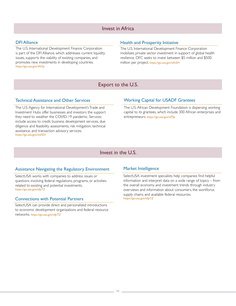# Invest in Africa

#### DFI Alliance

The U.S. International Development Finance Corporation is part of the DFI Alliance, which addresses current liquidity issues, supports the viability of existing companies, and promotes new investments in developing countries. <https://go.usa.gov/xfn2y>

#### Health and Prosperity Initiative

The U.S. International Development Finance Corporation mobilizes private sector investment in support of global health resilience. DFC seeks to invest between \$5 million and \$500 million per project. <https://go.usa.gov/xfn2H>

# Export to the U.S.

#### Technical Assistance and Other Services

The U.S. Agency for International Development's Trade and Investment Hubs offer businesses and investors the support they need to weather the COVID-19 pandemic. Services include access to credit, business development services, due diligence and feasibility assessments, risk mitigation, technical assistance, and transaction advisory services. <https://go.usa.gov/xwSDr>

#### Working Capital for USADF Grantees

The U.S. African Development Foundation is dispersing working capital to its grantees, which include 300 African enterprises and entrepreneurs.<https://go.usa.gov/xf7Ja>

# Invest in the U.S.

#### Assistance Navigating the Regulatory Environment

SelectUSA works with companies to address issues or questions involving federal regulations, programs, or activities related to existing and potential investments. [https://go.usa.gov/xfpTZ](https://go.usa.gov/xfpTZ )

#### Connections with Potential Partners

SelectUSA can provide direct and personalized introductions to economic development organizations and federal resource networks. <https://go.usa.gov/xfpTZ>

#### Market Intelligence

SelectUSA investment specialists help companies find helpful information and interpret data on a wide range of topics – from the overall economy and investment trends through industry overviews and information about consumers, the workforce, supply chains, and available federal resources. <https://go.usa.gov/xfpTZ>